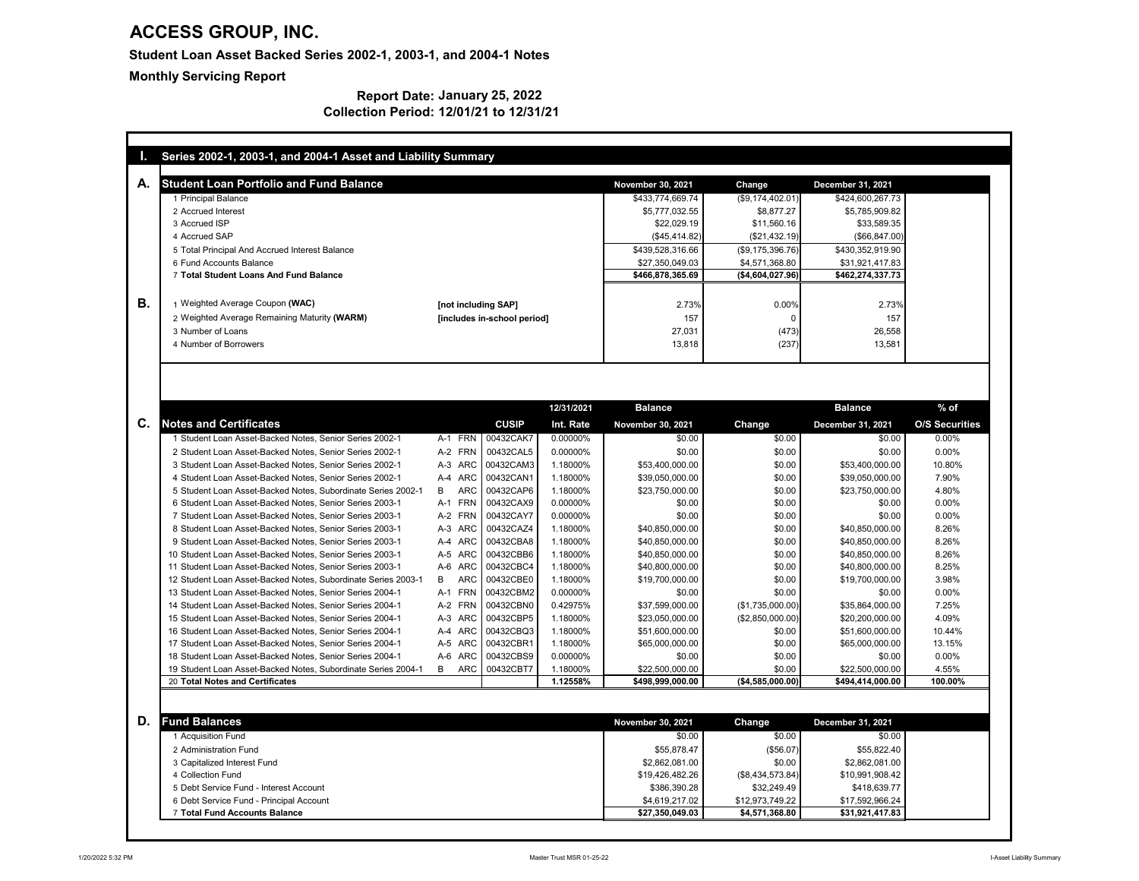| <b>Student Loan Portfolio and Fund Balance</b>                                                                       |                                              |                      | <b>November 30, 2021</b>  | <b>Change</b>              | <b>December 31, 2021</b>  |                                                    |
|----------------------------------------------------------------------------------------------------------------------|----------------------------------------------|----------------------|---------------------------|----------------------------|---------------------------|----------------------------------------------------|
| 1 Principal Balance                                                                                                  |                                              |                      | \$433,774,669.74          | (\$9,174,402.01)           | \$424,600,267.73          |                                                    |
| 2 Accrued Interest                                                                                                   |                                              |                      | \$5,777,032.55            | \$8,877.27                 | \$5,785,909.82            |                                                    |
| 3 Accrued ISP                                                                                                        |                                              |                      | \$22,029.19               | \$11,560.16                | \$33,589.35               |                                                    |
| 4 Accrued SAP                                                                                                        |                                              |                      | (\$45,414.82)             | (\$21,432.19)              | (\$66, 847.00)            |                                                    |
| 5 Total Principal And Accrued Interest Balance                                                                       |                                              |                      | \$439,528,316.66          | (\$9,175,396.76)           | \$430,352,919.90          |                                                    |
| 6 Fund Accounts Balance                                                                                              |                                              |                      | \$27,350,049.03           | \$4,571,368.80             | \$31,921,417.83           |                                                    |
| 7 Total Student Loans And Fund Balance                                                                               |                                              |                      | \$466,878,365.69          | (\$4,604,027.96)           | \$462,274,337.73          |                                                    |
| 1 Weighted Average Coupon (WAC)                                                                                      | [not including SAP]                          |                      | 2.73%                     | 0.00%                      | 2.73%                     |                                                    |
| 2 Weighted Average Remaining Maturity (WARM)                                                                         | [includes in-school period]                  |                      | 157                       | $\Omega$                   | 157                       |                                                    |
| 3 Number of Loans                                                                                                    |                                              |                      | 27,031                    | (473)                      | 26,558                    |                                                    |
| 4 Number of Borrowers                                                                                                |                                              |                      | 13,818                    | (237)                      | 13,581                    |                                                    |
|                                                                                                                      |                                              |                      |                           |                            |                           |                                                    |
|                                                                                                                      |                                              |                      |                           |                            |                           |                                                    |
|                                                                                                                      |                                              | 12/31/2021           | <b>Balance</b>            |                            | <b>Balance</b>            | $%$ of                                             |
| <b>Notes and Certificates</b>                                                                                        | <b>CUSIP</b>                                 | Int. Rate            | <b>November 30, 2021</b>  | <b>Change</b>              | <b>December 31, 2021</b>  |                                                    |
| 1 Student Loan Asset-Backed Notes, Senior Series 2002-1                                                              | 00432CAK7<br>A-1 FRN                         | 0.00000%             | \$0.00                    | \$0.00                     | \$0.00                    | 0.00%                                              |
| 2 Student Loan Asset-Backed Notes, Senior Series 2002-1                                                              | A-2 FRN<br>00432CAL5                         | 0.00000%             | \$0.00                    | \$0.00                     | \$0.00                    | 0.00%                                              |
| 3 Student Loan Asset-Backed Notes, Senior Series 2002-1                                                              | A-3 ARC<br>00432CAM3                         | 1.18000%             | \$53,400,000.00           | \$0.00                     | \$53,400,000.00           |                                                    |
| 4 Student Loan Asset-Backed Notes, Senior Series 2002-1                                                              | A-4 ARC<br>00432CAN1                         | 1.18000%             | \$39,050,000.00           | \$0.00                     | \$39,050,000.00           | 7.90%                                              |
| 5 Student Loan Asset-Backed Notes, Subordinate Series 2002-1                                                         | B<br><b>ARC</b><br>00432CAP6                 | 1.18000%             | \$23,750,000.00           | \$0.00                     | \$23,750,000.00           | 4.80%                                              |
| 6 Student Loan Asset-Backed Notes, Senior Series 2003-1                                                              | A-1 FRN<br>00432CAX9                         | 0.00000%             | \$0.00                    | \$0.00                     | \$0.00                    | $0.00\%$                                           |
| 7 Student Loan Asset-Backed Notes, Senior Series 2003-1                                                              | 00432CAY7<br>A-2 FRN                         | 0.00000%             | \$0.00                    | \$0.00                     | \$0.00                    | 0.00%                                              |
| 8 Student Loan Asset-Backed Notes, Senior Series 2003-1                                                              | A-3 ARC<br>00432CAZ4                         | 1.18000%             | \$40,850,000.00           | \$0.00                     | \$40,850,000.00           | 8.26%                                              |
| 9 Student Loan Asset-Backed Notes, Senior Series 2003-1                                                              | A-4 ARC<br>00432CBA8                         | 1.18000%             | \$40,850,000.00           | \$0.00                     | \$40,850,000.00           | 8.26%                                              |
| 10 Student Loan Asset-Backed Notes, Senior Series 2003-1                                                             | 00432CBB6<br>A-5 ARC                         | 1.18000%             | \$40,850,000.00           | \$0.00                     | \$40,850,000.00           | 8.26%                                              |
| 11 Student Loan Asset-Backed Notes, Senior Series 2003-1                                                             | A-6 ARC<br>00432CBC4                         | 1.18000%             | \$40,800,000.00           | \$0.00                     | \$40,800,000.00           | 8.25%                                              |
| 12 Student Loan Asset-Backed Notes, Subordinate Series 2003-1                                                        | ARC<br>00432CBE0<br>B                        | 1.18000%             | \$19,700,000.00           | \$0.00                     | \$19,700,000.00           | 3.98%                                              |
| 13 Student Loan Asset-Backed Notes, Senior Series 2004-1                                                             | A-1 FRN<br>00432CBM2                         | 0.00000%             | \$0.00                    | \$0.00                     | \$0.00                    | 0.00%                                              |
| 14 Student Loan Asset-Backed Notes, Senior Series 2004-1                                                             | A-2 FRN<br>00432CBN0                         | 0.42975%             | \$37,599,000.00           | (\$1,735,000.00)           | \$35,864,000.00           | 7.25%                                              |
| 15 Student Loan Asset-Backed Notes, Senior Series 2004-1<br>16 Student Loan Asset-Backed Notes, Senior Series 2004-1 | A-3 ARC<br>00432CBP5<br>A-4 ARC<br>00432CBQ3 | 1.18000%<br>1.18000% | \$23,050,000.00           | (\$2,850,000.00)<br>\$0.00 | \$20,200,000.00           | <b>O/S Securities</b><br>10.80%<br>4.09%<br>10.44% |
| 17 Student Loan Asset-Backed Notes, Senior Series 2004-1                                                             | A-5 ARC<br>00432CBR1                         | 1.18000%             | \$51,600,000.00           | \$0.00                     | \$51,600,000.00           | 13.15%                                             |
| 18 Student Loan Asset-Backed Notes, Senior Series 2004-1                                                             | A-6 ARC<br>00432CBS9                         | 0.00000%             | \$65,000,000.00<br>\$0.00 | \$0.00                     | \$65,000,000.00<br>\$0.00 | 0.00%                                              |
| 19 Student Loan Asset-Backed Notes, Subordinate Series 2004-1                                                        | B<br><b>ARC</b><br>00432CBT7                 | 1.18000%             | \$22,500,000.00           | \$0.00                     | \$22,500,000.00           | 4.55%                                              |

#### **Report Date: January 25, 2022 Collection Period: 12/01/21 to 12/31/21**

| <b>Fund Balances</b>                    | <b>November 30, 2021</b> | Change             | <b>December 31, 2021</b> |
|-----------------------------------------|--------------------------|--------------------|--------------------------|
| 1 Acquisition Fund                      | \$0.00                   | \$0.00             | \$0.00                   |
| 2 Administration Fund                   | \$55,878.47              | (\$56.07)          | \$55,822.40              |
| 3 Capitalized Interest Fund             | \$2,862,081.00           | \$0.00             | \$2,862,081.00           |
| 4 Collection Fund                       | \$19,426,482.26          | $(\$8,434,573.84)$ | \$10,991,908.42          |
| 5 Debt Service Fund - Interest Account  | \$386,390.28             | \$32,249.49        | \$418,639.77             |
| 6 Debt Service Fund - Principal Account | \$4,619,217.02           | \$12,973,749.22    | \$17,592,966.24          |
| 7 Total Fund Accounts Balance           | \$27,350,049.03          | \$4,571,368.80     | \$31,921,417.83          |

## **ACCESS GROUP, INC.**

**Student Loan Asset Backed Series 2002-1, 2003-1, and 2004-1 Notes**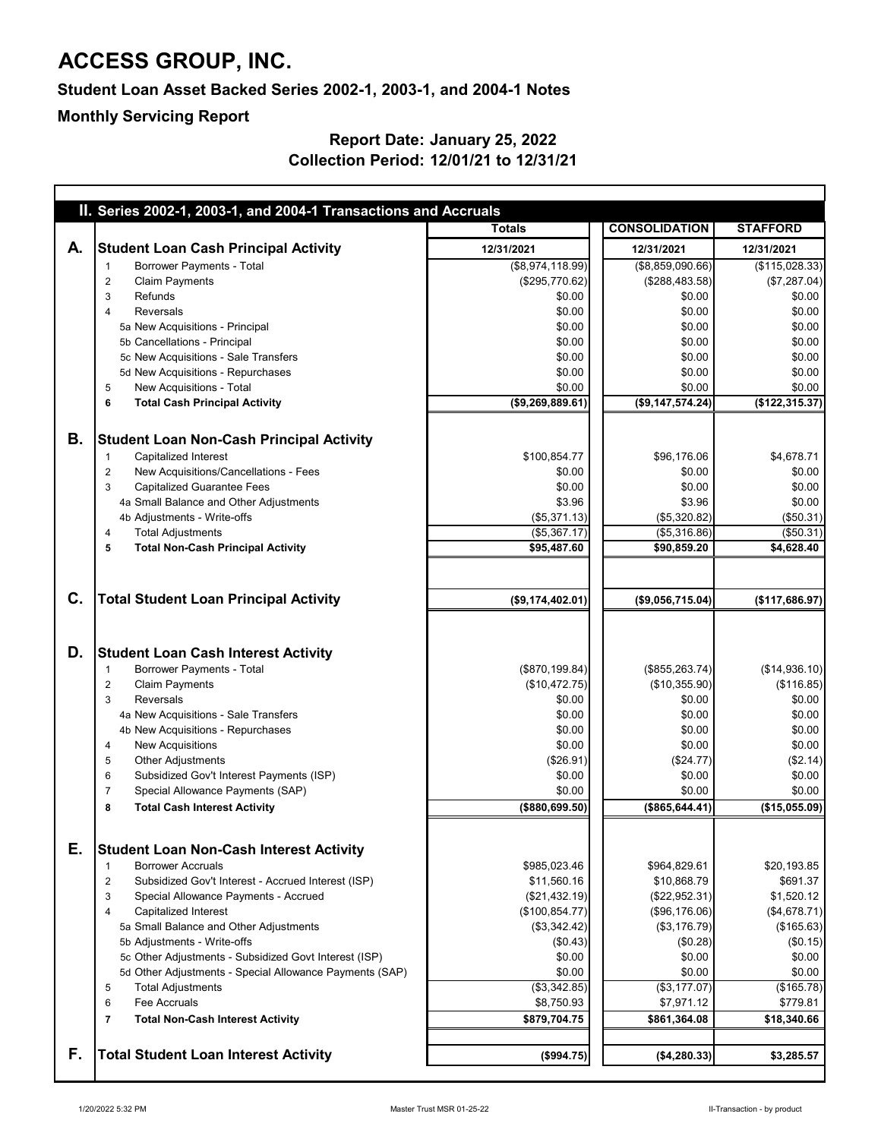| II. Series 2002-1, 2003-1, and 2004-1 Transactions and Accruals<br><b>CONSOLIDATION</b><br><b>Totals</b><br><b>STAFFORD</b><br><b>Student Loan Cash Principal Activity</b><br>А.<br>12/31/2021<br>12/31/2021<br>12/31/2021<br><b>Borrower Payments - Total</b><br>(\$8,974,118.99)<br>(\$8,859,090.66)<br>(\$295,770.62)<br><b>Claim Payments</b><br>(\$288,483.58)<br>$\overline{2}$<br>\$0.00<br>\$0.00<br>3<br>Refunds<br>Reversals<br>\$0.00<br>\$0.00<br>4<br>\$0.00<br>\$0.00<br>5a New Acquisitions - Principal<br>\$0.00<br>5b Cancellations - Principal<br>\$0.00<br>\$0.00<br>5c New Acquisitions - Sale Transfers<br>\$0.00<br>5d New Acquisitions - Repurchases<br>\$0.00<br>\$0.00<br>New Acquisitions - Total<br>\$0.00<br>\$0.00<br>5<br>(\$9,269,889.61)<br>(\$9,147,574.24)<br><b>Total Cash Principal Activity</b><br>6<br>В.<br><b>Student Loan Non-Cash Principal Activity</b><br>\$100,854.77<br><b>Capitalized Interest</b><br>\$96,176.06<br>New Acquisitions/Cancellations - Fees<br>\$0.00<br>\$0.00<br>$\overline{2}$<br><b>Capitalized Guarantee Fees</b><br>\$0.00<br>\$0.00<br>3<br>\$3.96<br>4a Small Balance and Other Adjustments<br>\$3.96<br>(\$5,371.13)<br>4b Adjustments - Write-offs<br>(\$5,320.82)<br>(\$5,367.17)<br>(\$5,316.86)<br><b>Total Adjustments</b><br>4<br>\$95,487.60<br><b>Total Non-Cash Principal Activity</b><br>\$90,859.20<br>5<br>C.<br><b>Total Student Loan Principal Activity</b><br>(\$9,174,402.01)<br>(\$9,056,715.04)<br>D.<br><b>Student Loan Cash Interest Activity</b><br><b>Borrower Payments - Total</b><br>(\$870, 199.84)<br>(\$855, 263.74)<br><b>Claim Payments</b><br>(\$10,472.75)<br>(\$10,355.90)<br>$\overline{c}$<br><b>Reversals</b><br>\$0.00<br>\$0.00<br>3<br>\$0.00<br>4a New Acquisitions - Sale Transfers<br>\$0.00<br>4b New Acquisitions - Repurchases<br>\$0.00<br>\$0.00<br><b>New Acquisitions</b><br>\$0.00<br>\$0.00<br>4<br><b>Other Adjustments</b><br>(\$26.91)<br>(\$24.77)<br>5<br>Subsidized Gov't Interest Payments (ISP)<br>\$0.00<br>\$0.00<br>6<br>Special Allowance Payments (SAP)<br>\$0.00<br>\$0.00<br>$\overline{7}$<br>( \$880, 699.50)<br>(\$865, 644.41)<br><b>Total Cash Interest Activity</b><br>8<br>Е.<br><b>Student Loan Non-Cash Interest Activity</b><br><b>Borrower Accruals</b><br>\$985,023.46<br>\$964,829.61<br>\$20,193.85<br>\$11,560.16<br>Subsidized Gov't Interest - Accrued Interest (ISP)<br>\$10,868.79<br>\$691.37<br>2<br>\$1,520.12<br>(\$21,432.19)<br>(\$22,952.31)<br>3<br>Special Allowance Payments - Accrued<br><b>Capitalized Interest</b><br>(\$100, 854.77)<br>(\$96,176.06)<br>(\$4,678.71)<br>4<br>(\$3,342.42)<br>(\$165.63)<br>5a Small Balance and Other Adjustments<br>(\$3,176.79)<br>(\$0.43)<br>(\$0.28)<br>5b Adjustments - Write-offs<br>5c Other Adjustments - Subsidized Govt Interest (ISP)<br>\$0.00<br>\$0.00<br>5d Other Adjustments - Special Allowance Payments (SAP)<br>\$0.00<br>\$0.00<br>(\$3,342.85)<br>(\$165.78)<br><b>Total Adjustments</b><br>(\$3,177.07)<br>5<br><b>Fee Accruals</b><br>\$8,750.93<br>\$7,971.12<br>6<br>\$879,704.75<br>\$861,364.08<br><b>Total Non-Cash Interest Activity</b><br>$\overline{7}$<br>F.<br><b>Total Student Loan Interest Activity</b><br>(\$994.75)<br>(\$4,280.33) |  |  |                |
|---------------------------------------------------------------------------------------------------------------------------------------------------------------------------------------------------------------------------------------------------------------------------------------------------------------------------------------------------------------------------------------------------------------------------------------------------------------------------------------------------------------------------------------------------------------------------------------------------------------------------------------------------------------------------------------------------------------------------------------------------------------------------------------------------------------------------------------------------------------------------------------------------------------------------------------------------------------------------------------------------------------------------------------------------------------------------------------------------------------------------------------------------------------------------------------------------------------------------------------------------------------------------------------------------------------------------------------------------------------------------------------------------------------------------------------------------------------------------------------------------------------------------------------------------------------------------------------------------------------------------------------------------------------------------------------------------------------------------------------------------------------------------------------------------------------------------------------------------------------------------------------------------------------------------------------------------------------------------------------------------------------------------------------------------------------------------------------------------------------------------------------------------------------------------------------------------------------------------------------------------------------------------------------------------------------------------------------------------------------------------------------------------------------------------------------------------------------------------------------------------------------------------------------------------------------------------------------------------------------------------------------------------------------------------------------------------------------------------------------------------------------------------------------------------------------------------------------------------------------------------------------------------------------------------------------------------------------------------------------------------------------------------------------------------------------------------------------------------------------------------------------------------------------------------------------------------------------------------------------------------------------------------------------|--|--|----------------|
|                                                                                                                                                                                                                                                                                                                                                                                                                                                                                                                                                                                                                                                                                                                                                                                                                                                                                                                                                                                                                                                                                                                                                                                                                                                                                                                                                                                                                                                                                                                                                                                                                                                                                                                                                                                                                                                                                                                                                                                                                                                                                                                                                                                                                                                                                                                                                                                                                                                                                                                                                                                                                                                                                                                                                                                                                                                                                                                                                                                                                                                                                                                                                                                                                                                                                       |  |  |                |
|                                                                                                                                                                                                                                                                                                                                                                                                                                                                                                                                                                                                                                                                                                                                                                                                                                                                                                                                                                                                                                                                                                                                                                                                                                                                                                                                                                                                                                                                                                                                                                                                                                                                                                                                                                                                                                                                                                                                                                                                                                                                                                                                                                                                                                                                                                                                                                                                                                                                                                                                                                                                                                                                                                                                                                                                                                                                                                                                                                                                                                                                                                                                                                                                                                                                                       |  |  |                |
|                                                                                                                                                                                                                                                                                                                                                                                                                                                                                                                                                                                                                                                                                                                                                                                                                                                                                                                                                                                                                                                                                                                                                                                                                                                                                                                                                                                                                                                                                                                                                                                                                                                                                                                                                                                                                                                                                                                                                                                                                                                                                                                                                                                                                                                                                                                                                                                                                                                                                                                                                                                                                                                                                                                                                                                                                                                                                                                                                                                                                                                                                                                                                                                                                                                                                       |  |  |                |
|                                                                                                                                                                                                                                                                                                                                                                                                                                                                                                                                                                                                                                                                                                                                                                                                                                                                                                                                                                                                                                                                                                                                                                                                                                                                                                                                                                                                                                                                                                                                                                                                                                                                                                                                                                                                                                                                                                                                                                                                                                                                                                                                                                                                                                                                                                                                                                                                                                                                                                                                                                                                                                                                                                                                                                                                                                                                                                                                                                                                                                                                                                                                                                                                                                                                                       |  |  | (\$115,028.33) |
|                                                                                                                                                                                                                                                                                                                                                                                                                                                                                                                                                                                                                                                                                                                                                                                                                                                                                                                                                                                                                                                                                                                                                                                                                                                                                                                                                                                                                                                                                                                                                                                                                                                                                                                                                                                                                                                                                                                                                                                                                                                                                                                                                                                                                                                                                                                                                                                                                                                                                                                                                                                                                                                                                                                                                                                                                                                                                                                                                                                                                                                                                                                                                                                                                                                                                       |  |  | (\$7,287.04)   |
|                                                                                                                                                                                                                                                                                                                                                                                                                                                                                                                                                                                                                                                                                                                                                                                                                                                                                                                                                                                                                                                                                                                                                                                                                                                                                                                                                                                                                                                                                                                                                                                                                                                                                                                                                                                                                                                                                                                                                                                                                                                                                                                                                                                                                                                                                                                                                                                                                                                                                                                                                                                                                                                                                                                                                                                                                                                                                                                                                                                                                                                                                                                                                                                                                                                                                       |  |  | \$0.00         |
|                                                                                                                                                                                                                                                                                                                                                                                                                                                                                                                                                                                                                                                                                                                                                                                                                                                                                                                                                                                                                                                                                                                                                                                                                                                                                                                                                                                                                                                                                                                                                                                                                                                                                                                                                                                                                                                                                                                                                                                                                                                                                                                                                                                                                                                                                                                                                                                                                                                                                                                                                                                                                                                                                                                                                                                                                                                                                                                                                                                                                                                                                                                                                                                                                                                                                       |  |  | \$0.00         |
|                                                                                                                                                                                                                                                                                                                                                                                                                                                                                                                                                                                                                                                                                                                                                                                                                                                                                                                                                                                                                                                                                                                                                                                                                                                                                                                                                                                                                                                                                                                                                                                                                                                                                                                                                                                                                                                                                                                                                                                                                                                                                                                                                                                                                                                                                                                                                                                                                                                                                                                                                                                                                                                                                                                                                                                                                                                                                                                                                                                                                                                                                                                                                                                                                                                                                       |  |  | \$0.00         |
|                                                                                                                                                                                                                                                                                                                                                                                                                                                                                                                                                                                                                                                                                                                                                                                                                                                                                                                                                                                                                                                                                                                                                                                                                                                                                                                                                                                                                                                                                                                                                                                                                                                                                                                                                                                                                                                                                                                                                                                                                                                                                                                                                                                                                                                                                                                                                                                                                                                                                                                                                                                                                                                                                                                                                                                                                                                                                                                                                                                                                                                                                                                                                                                                                                                                                       |  |  | \$0.00         |
|                                                                                                                                                                                                                                                                                                                                                                                                                                                                                                                                                                                                                                                                                                                                                                                                                                                                                                                                                                                                                                                                                                                                                                                                                                                                                                                                                                                                                                                                                                                                                                                                                                                                                                                                                                                                                                                                                                                                                                                                                                                                                                                                                                                                                                                                                                                                                                                                                                                                                                                                                                                                                                                                                                                                                                                                                                                                                                                                                                                                                                                                                                                                                                                                                                                                                       |  |  | \$0.00         |
|                                                                                                                                                                                                                                                                                                                                                                                                                                                                                                                                                                                                                                                                                                                                                                                                                                                                                                                                                                                                                                                                                                                                                                                                                                                                                                                                                                                                                                                                                                                                                                                                                                                                                                                                                                                                                                                                                                                                                                                                                                                                                                                                                                                                                                                                                                                                                                                                                                                                                                                                                                                                                                                                                                                                                                                                                                                                                                                                                                                                                                                                                                                                                                                                                                                                                       |  |  | \$0.00         |
|                                                                                                                                                                                                                                                                                                                                                                                                                                                                                                                                                                                                                                                                                                                                                                                                                                                                                                                                                                                                                                                                                                                                                                                                                                                                                                                                                                                                                                                                                                                                                                                                                                                                                                                                                                                                                                                                                                                                                                                                                                                                                                                                                                                                                                                                                                                                                                                                                                                                                                                                                                                                                                                                                                                                                                                                                                                                                                                                                                                                                                                                                                                                                                                                                                                                                       |  |  | \$0.00         |
|                                                                                                                                                                                                                                                                                                                                                                                                                                                                                                                                                                                                                                                                                                                                                                                                                                                                                                                                                                                                                                                                                                                                                                                                                                                                                                                                                                                                                                                                                                                                                                                                                                                                                                                                                                                                                                                                                                                                                                                                                                                                                                                                                                                                                                                                                                                                                                                                                                                                                                                                                                                                                                                                                                                                                                                                                                                                                                                                                                                                                                                                                                                                                                                                                                                                                       |  |  | (\$122,315.37) |
|                                                                                                                                                                                                                                                                                                                                                                                                                                                                                                                                                                                                                                                                                                                                                                                                                                                                                                                                                                                                                                                                                                                                                                                                                                                                                                                                                                                                                                                                                                                                                                                                                                                                                                                                                                                                                                                                                                                                                                                                                                                                                                                                                                                                                                                                                                                                                                                                                                                                                                                                                                                                                                                                                                                                                                                                                                                                                                                                                                                                                                                                                                                                                                                                                                                                                       |  |  |                |
|                                                                                                                                                                                                                                                                                                                                                                                                                                                                                                                                                                                                                                                                                                                                                                                                                                                                                                                                                                                                                                                                                                                                                                                                                                                                                                                                                                                                                                                                                                                                                                                                                                                                                                                                                                                                                                                                                                                                                                                                                                                                                                                                                                                                                                                                                                                                                                                                                                                                                                                                                                                                                                                                                                                                                                                                                                                                                                                                                                                                                                                                                                                                                                                                                                                                                       |  |  | \$4,678.71     |
|                                                                                                                                                                                                                                                                                                                                                                                                                                                                                                                                                                                                                                                                                                                                                                                                                                                                                                                                                                                                                                                                                                                                                                                                                                                                                                                                                                                                                                                                                                                                                                                                                                                                                                                                                                                                                                                                                                                                                                                                                                                                                                                                                                                                                                                                                                                                                                                                                                                                                                                                                                                                                                                                                                                                                                                                                                                                                                                                                                                                                                                                                                                                                                                                                                                                                       |  |  | \$0.00         |
|                                                                                                                                                                                                                                                                                                                                                                                                                                                                                                                                                                                                                                                                                                                                                                                                                                                                                                                                                                                                                                                                                                                                                                                                                                                                                                                                                                                                                                                                                                                                                                                                                                                                                                                                                                                                                                                                                                                                                                                                                                                                                                                                                                                                                                                                                                                                                                                                                                                                                                                                                                                                                                                                                                                                                                                                                                                                                                                                                                                                                                                                                                                                                                                                                                                                                       |  |  | \$0.00         |
|                                                                                                                                                                                                                                                                                                                                                                                                                                                                                                                                                                                                                                                                                                                                                                                                                                                                                                                                                                                                                                                                                                                                                                                                                                                                                                                                                                                                                                                                                                                                                                                                                                                                                                                                                                                                                                                                                                                                                                                                                                                                                                                                                                                                                                                                                                                                                                                                                                                                                                                                                                                                                                                                                                                                                                                                                                                                                                                                                                                                                                                                                                                                                                                                                                                                                       |  |  | \$0.00         |
|                                                                                                                                                                                                                                                                                                                                                                                                                                                                                                                                                                                                                                                                                                                                                                                                                                                                                                                                                                                                                                                                                                                                                                                                                                                                                                                                                                                                                                                                                                                                                                                                                                                                                                                                                                                                                                                                                                                                                                                                                                                                                                                                                                                                                                                                                                                                                                                                                                                                                                                                                                                                                                                                                                                                                                                                                                                                                                                                                                                                                                                                                                                                                                                                                                                                                       |  |  | (\$50.31)      |
|                                                                                                                                                                                                                                                                                                                                                                                                                                                                                                                                                                                                                                                                                                                                                                                                                                                                                                                                                                                                                                                                                                                                                                                                                                                                                                                                                                                                                                                                                                                                                                                                                                                                                                                                                                                                                                                                                                                                                                                                                                                                                                                                                                                                                                                                                                                                                                                                                                                                                                                                                                                                                                                                                                                                                                                                                                                                                                                                                                                                                                                                                                                                                                                                                                                                                       |  |  | (\$50.31)      |
|                                                                                                                                                                                                                                                                                                                                                                                                                                                                                                                                                                                                                                                                                                                                                                                                                                                                                                                                                                                                                                                                                                                                                                                                                                                                                                                                                                                                                                                                                                                                                                                                                                                                                                                                                                                                                                                                                                                                                                                                                                                                                                                                                                                                                                                                                                                                                                                                                                                                                                                                                                                                                                                                                                                                                                                                                                                                                                                                                                                                                                                                                                                                                                                                                                                                                       |  |  | \$4,628.40     |
|                                                                                                                                                                                                                                                                                                                                                                                                                                                                                                                                                                                                                                                                                                                                                                                                                                                                                                                                                                                                                                                                                                                                                                                                                                                                                                                                                                                                                                                                                                                                                                                                                                                                                                                                                                                                                                                                                                                                                                                                                                                                                                                                                                                                                                                                                                                                                                                                                                                                                                                                                                                                                                                                                                                                                                                                                                                                                                                                                                                                                                                                                                                                                                                                                                                                                       |  |  |                |
|                                                                                                                                                                                                                                                                                                                                                                                                                                                                                                                                                                                                                                                                                                                                                                                                                                                                                                                                                                                                                                                                                                                                                                                                                                                                                                                                                                                                                                                                                                                                                                                                                                                                                                                                                                                                                                                                                                                                                                                                                                                                                                                                                                                                                                                                                                                                                                                                                                                                                                                                                                                                                                                                                                                                                                                                                                                                                                                                                                                                                                                                                                                                                                                                                                                                                       |  |  | (\$117,686.97) |
|                                                                                                                                                                                                                                                                                                                                                                                                                                                                                                                                                                                                                                                                                                                                                                                                                                                                                                                                                                                                                                                                                                                                                                                                                                                                                                                                                                                                                                                                                                                                                                                                                                                                                                                                                                                                                                                                                                                                                                                                                                                                                                                                                                                                                                                                                                                                                                                                                                                                                                                                                                                                                                                                                                                                                                                                                                                                                                                                                                                                                                                                                                                                                                                                                                                                                       |  |  |                |
|                                                                                                                                                                                                                                                                                                                                                                                                                                                                                                                                                                                                                                                                                                                                                                                                                                                                                                                                                                                                                                                                                                                                                                                                                                                                                                                                                                                                                                                                                                                                                                                                                                                                                                                                                                                                                                                                                                                                                                                                                                                                                                                                                                                                                                                                                                                                                                                                                                                                                                                                                                                                                                                                                                                                                                                                                                                                                                                                                                                                                                                                                                                                                                                                                                                                                       |  |  |                |
|                                                                                                                                                                                                                                                                                                                                                                                                                                                                                                                                                                                                                                                                                                                                                                                                                                                                                                                                                                                                                                                                                                                                                                                                                                                                                                                                                                                                                                                                                                                                                                                                                                                                                                                                                                                                                                                                                                                                                                                                                                                                                                                                                                                                                                                                                                                                                                                                                                                                                                                                                                                                                                                                                                                                                                                                                                                                                                                                                                                                                                                                                                                                                                                                                                                                                       |  |  | (\$14,936.10)  |
|                                                                                                                                                                                                                                                                                                                                                                                                                                                                                                                                                                                                                                                                                                                                                                                                                                                                                                                                                                                                                                                                                                                                                                                                                                                                                                                                                                                                                                                                                                                                                                                                                                                                                                                                                                                                                                                                                                                                                                                                                                                                                                                                                                                                                                                                                                                                                                                                                                                                                                                                                                                                                                                                                                                                                                                                                                                                                                                                                                                                                                                                                                                                                                                                                                                                                       |  |  | (\$116.85)     |
|                                                                                                                                                                                                                                                                                                                                                                                                                                                                                                                                                                                                                                                                                                                                                                                                                                                                                                                                                                                                                                                                                                                                                                                                                                                                                                                                                                                                                                                                                                                                                                                                                                                                                                                                                                                                                                                                                                                                                                                                                                                                                                                                                                                                                                                                                                                                                                                                                                                                                                                                                                                                                                                                                                                                                                                                                                                                                                                                                                                                                                                                                                                                                                                                                                                                                       |  |  | \$0.00         |
|                                                                                                                                                                                                                                                                                                                                                                                                                                                                                                                                                                                                                                                                                                                                                                                                                                                                                                                                                                                                                                                                                                                                                                                                                                                                                                                                                                                                                                                                                                                                                                                                                                                                                                                                                                                                                                                                                                                                                                                                                                                                                                                                                                                                                                                                                                                                                                                                                                                                                                                                                                                                                                                                                                                                                                                                                                                                                                                                                                                                                                                                                                                                                                                                                                                                                       |  |  | \$0.00         |
|                                                                                                                                                                                                                                                                                                                                                                                                                                                                                                                                                                                                                                                                                                                                                                                                                                                                                                                                                                                                                                                                                                                                                                                                                                                                                                                                                                                                                                                                                                                                                                                                                                                                                                                                                                                                                                                                                                                                                                                                                                                                                                                                                                                                                                                                                                                                                                                                                                                                                                                                                                                                                                                                                                                                                                                                                                                                                                                                                                                                                                                                                                                                                                                                                                                                                       |  |  | \$0.00         |
|                                                                                                                                                                                                                                                                                                                                                                                                                                                                                                                                                                                                                                                                                                                                                                                                                                                                                                                                                                                                                                                                                                                                                                                                                                                                                                                                                                                                                                                                                                                                                                                                                                                                                                                                                                                                                                                                                                                                                                                                                                                                                                                                                                                                                                                                                                                                                                                                                                                                                                                                                                                                                                                                                                                                                                                                                                                                                                                                                                                                                                                                                                                                                                                                                                                                                       |  |  | \$0.00         |
|                                                                                                                                                                                                                                                                                                                                                                                                                                                                                                                                                                                                                                                                                                                                                                                                                                                                                                                                                                                                                                                                                                                                                                                                                                                                                                                                                                                                                                                                                                                                                                                                                                                                                                                                                                                                                                                                                                                                                                                                                                                                                                                                                                                                                                                                                                                                                                                                                                                                                                                                                                                                                                                                                                                                                                                                                                                                                                                                                                                                                                                                                                                                                                                                                                                                                       |  |  | (\$2.14)       |
|                                                                                                                                                                                                                                                                                                                                                                                                                                                                                                                                                                                                                                                                                                                                                                                                                                                                                                                                                                                                                                                                                                                                                                                                                                                                                                                                                                                                                                                                                                                                                                                                                                                                                                                                                                                                                                                                                                                                                                                                                                                                                                                                                                                                                                                                                                                                                                                                                                                                                                                                                                                                                                                                                                                                                                                                                                                                                                                                                                                                                                                                                                                                                                                                                                                                                       |  |  | \$0.00         |
|                                                                                                                                                                                                                                                                                                                                                                                                                                                                                                                                                                                                                                                                                                                                                                                                                                                                                                                                                                                                                                                                                                                                                                                                                                                                                                                                                                                                                                                                                                                                                                                                                                                                                                                                                                                                                                                                                                                                                                                                                                                                                                                                                                                                                                                                                                                                                                                                                                                                                                                                                                                                                                                                                                                                                                                                                                                                                                                                                                                                                                                                                                                                                                                                                                                                                       |  |  | \$0.00         |
|                                                                                                                                                                                                                                                                                                                                                                                                                                                                                                                                                                                                                                                                                                                                                                                                                                                                                                                                                                                                                                                                                                                                                                                                                                                                                                                                                                                                                                                                                                                                                                                                                                                                                                                                                                                                                                                                                                                                                                                                                                                                                                                                                                                                                                                                                                                                                                                                                                                                                                                                                                                                                                                                                                                                                                                                                                                                                                                                                                                                                                                                                                                                                                                                                                                                                       |  |  | (\$15,055.09)  |
|                                                                                                                                                                                                                                                                                                                                                                                                                                                                                                                                                                                                                                                                                                                                                                                                                                                                                                                                                                                                                                                                                                                                                                                                                                                                                                                                                                                                                                                                                                                                                                                                                                                                                                                                                                                                                                                                                                                                                                                                                                                                                                                                                                                                                                                                                                                                                                                                                                                                                                                                                                                                                                                                                                                                                                                                                                                                                                                                                                                                                                                                                                                                                                                                                                                                                       |  |  |                |
|                                                                                                                                                                                                                                                                                                                                                                                                                                                                                                                                                                                                                                                                                                                                                                                                                                                                                                                                                                                                                                                                                                                                                                                                                                                                                                                                                                                                                                                                                                                                                                                                                                                                                                                                                                                                                                                                                                                                                                                                                                                                                                                                                                                                                                                                                                                                                                                                                                                                                                                                                                                                                                                                                                                                                                                                                                                                                                                                                                                                                                                                                                                                                                                                                                                                                       |  |  |                |
|                                                                                                                                                                                                                                                                                                                                                                                                                                                                                                                                                                                                                                                                                                                                                                                                                                                                                                                                                                                                                                                                                                                                                                                                                                                                                                                                                                                                                                                                                                                                                                                                                                                                                                                                                                                                                                                                                                                                                                                                                                                                                                                                                                                                                                                                                                                                                                                                                                                                                                                                                                                                                                                                                                                                                                                                                                                                                                                                                                                                                                                                                                                                                                                                                                                                                       |  |  |                |
|                                                                                                                                                                                                                                                                                                                                                                                                                                                                                                                                                                                                                                                                                                                                                                                                                                                                                                                                                                                                                                                                                                                                                                                                                                                                                                                                                                                                                                                                                                                                                                                                                                                                                                                                                                                                                                                                                                                                                                                                                                                                                                                                                                                                                                                                                                                                                                                                                                                                                                                                                                                                                                                                                                                                                                                                                                                                                                                                                                                                                                                                                                                                                                                                                                                                                       |  |  |                |
|                                                                                                                                                                                                                                                                                                                                                                                                                                                                                                                                                                                                                                                                                                                                                                                                                                                                                                                                                                                                                                                                                                                                                                                                                                                                                                                                                                                                                                                                                                                                                                                                                                                                                                                                                                                                                                                                                                                                                                                                                                                                                                                                                                                                                                                                                                                                                                                                                                                                                                                                                                                                                                                                                                                                                                                                                                                                                                                                                                                                                                                                                                                                                                                                                                                                                       |  |  |                |
|                                                                                                                                                                                                                                                                                                                                                                                                                                                                                                                                                                                                                                                                                                                                                                                                                                                                                                                                                                                                                                                                                                                                                                                                                                                                                                                                                                                                                                                                                                                                                                                                                                                                                                                                                                                                                                                                                                                                                                                                                                                                                                                                                                                                                                                                                                                                                                                                                                                                                                                                                                                                                                                                                                                                                                                                                                                                                                                                                                                                                                                                                                                                                                                                                                                                                       |  |  |                |
|                                                                                                                                                                                                                                                                                                                                                                                                                                                                                                                                                                                                                                                                                                                                                                                                                                                                                                                                                                                                                                                                                                                                                                                                                                                                                                                                                                                                                                                                                                                                                                                                                                                                                                                                                                                                                                                                                                                                                                                                                                                                                                                                                                                                                                                                                                                                                                                                                                                                                                                                                                                                                                                                                                                                                                                                                                                                                                                                                                                                                                                                                                                                                                                                                                                                                       |  |  | (\$0.15)       |
|                                                                                                                                                                                                                                                                                                                                                                                                                                                                                                                                                                                                                                                                                                                                                                                                                                                                                                                                                                                                                                                                                                                                                                                                                                                                                                                                                                                                                                                                                                                                                                                                                                                                                                                                                                                                                                                                                                                                                                                                                                                                                                                                                                                                                                                                                                                                                                                                                                                                                                                                                                                                                                                                                                                                                                                                                                                                                                                                                                                                                                                                                                                                                                                                                                                                                       |  |  | \$0.00         |
|                                                                                                                                                                                                                                                                                                                                                                                                                                                                                                                                                                                                                                                                                                                                                                                                                                                                                                                                                                                                                                                                                                                                                                                                                                                                                                                                                                                                                                                                                                                                                                                                                                                                                                                                                                                                                                                                                                                                                                                                                                                                                                                                                                                                                                                                                                                                                                                                                                                                                                                                                                                                                                                                                                                                                                                                                                                                                                                                                                                                                                                                                                                                                                                                                                                                                       |  |  | \$0.00         |
|                                                                                                                                                                                                                                                                                                                                                                                                                                                                                                                                                                                                                                                                                                                                                                                                                                                                                                                                                                                                                                                                                                                                                                                                                                                                                                                                                                                                                                                                                                                                                                                                                                                                                                                                                                                                                                                                                                                                                                                                                                                                                                                                                                                                                                                                                                                                                                                                                                                                                                                                                                                                                                                                                                                                                                                                                                                                                                                                                                                                                                                                                                                                                                                                                                                                                       |  |  |                |
|                                                                                                                                                                                                                                                                                                                                                                                                                                                                                                                                                                                                                                                                                                                                                                                                                                                                                                                                                                                                                                                                                                                                                                                                                                                                                                                                                                                                                                                                                                                                                                                                                                                                                                                                                                                                                                                                                                                                                                                                                                                                                                                                                                                                                                                                                                                                                                                                                                                                                                                                                                                                                                                                                                                                                                                                                                                                                                                                                                                                                                                                                                                                                                                                                                                                                       |  |  | \$779.81       |
|                                                                                                                                                                                                                                                                                                                                                                                                                                                                                                                                                                                                                                                                                                                                                                                                                                                                                                                                                                                                                                                                                                                                                                                                                                                                                                                                                                                                                                                                                                                                                                                                                                                                                                                                                                                                                                                                                                                                                                                                                                                                                                                                                                                                                                                                                                                                                                                                                                                                                                                                                                                                                                                                                                                                                                                                                                                                                                                                                                                                                                                                                                                                                                                                                                                                                       |  |  | \$18,340.66    |
|                                                                                                                                                                                                                                                                                                                                                                                                                                                                                                                                                                                                                                                                                                                                                                                                                                                                                                                                                                                                                                                                                                                                                                                                                                                                                                                                                                                                                                                                                                                                                                                                                                                                                                                                                                                                                                                                                                                                                                                                                                                                                                                                                                                                                                                                                                                                                                                                                                                                                                                                                                                                                                                                                                                                                                                                                                                                                                                                                                                                                                                                                                                                                                                                                                                                                       |  |  |                |
|                                                                                                                                                                                                                                                                                                                                                                                                                                                                                                                                                                                                                                                                                                                                                                                                                                                                                                                                                                                                                                                                                                                                                                                                                                                                                                                                                                                                                                                                                                                                                                                                                                                                                                                                                                                                                                                                                                                                                                                                                                                                                                                                                                                                                                                                                                                                                                                                                                                                                                                                                                                                                                                                                                                                                                                                                                                                                                                                                                                                                                                                                                                                                                                                                                                                                       |  |  | \$3,285.57     |

## **ACCESS GROUP, INC.**

#### **Student Loan Asset Backed Series 2002-1, 2003-1, and 2004-1 Notes**

#### **Report Date: January 25, 2022 Collection Period: 12/01/21 to 12/31/21**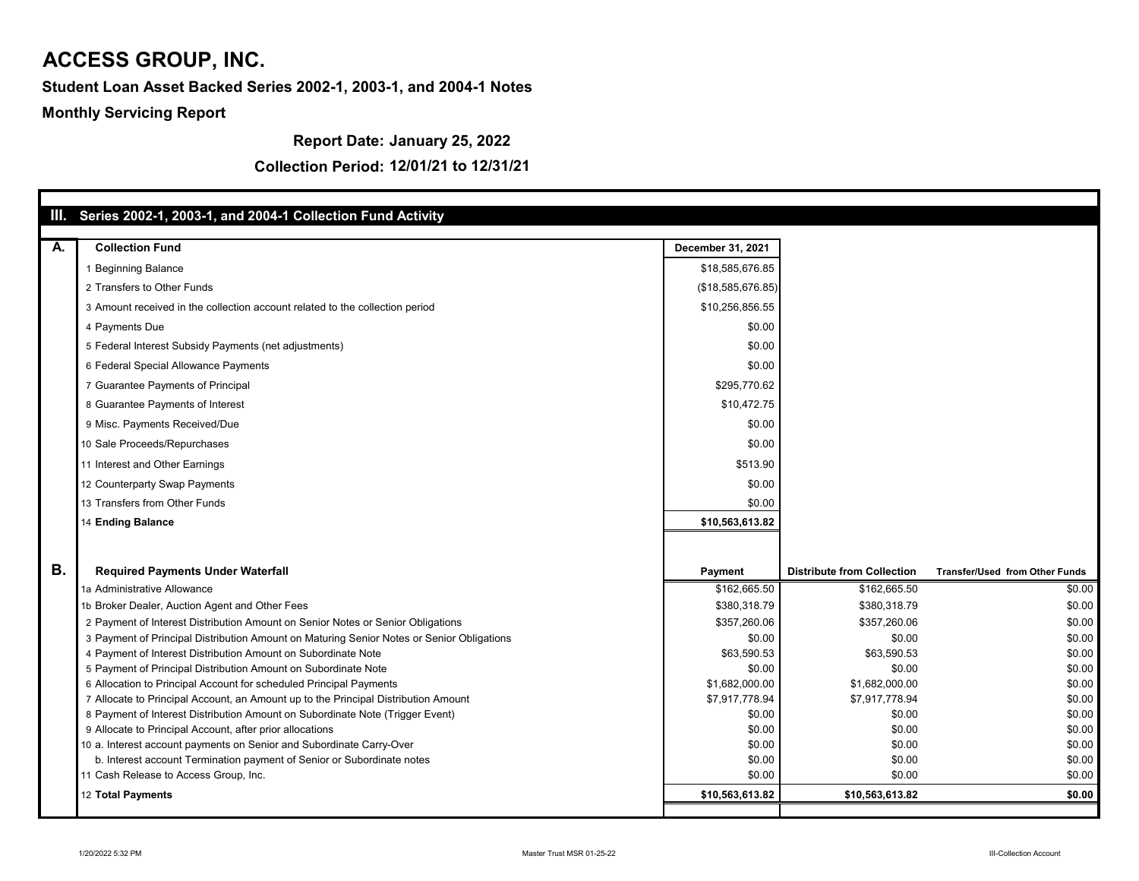**Report Date: January 25, 2022**

|           | III. Series 2002-1, 2003-1, and 2004-1 Collection Fund Activity                           |                          |                                   |                                       |
|-----------|-------------------------------------------------------------------------------------------|--------------------------|-----------------------------------|---------------------------------------|
|           |                                                                                           |                          |                                   |                                       |
| A.        | <b>Collection Fund</b>                                                                    | <b>December 31, 2021</b> |                                   |                                       |
|           | <b>Beginning Balance</b>                                                                  | \$18,585,676.85          |                                   |                                       |
|           | 2 Transfers to Other Funds                                                                | (\$18,585,676.85)        |                                   |                                       |
|           | 3 Amount received in the collection account related to the collection period              | \$10,256,856.55          |                                   |                                       |
|           | 4 Payments Due                                                                            | \$0.00                   |                                   |                                       |
|           | 5 Federal Interest Subsidy Payments (net adjustments)                                     | \$0.00                   |                                   |                                       |
|           | 6 Federal Special Allowance Payments                                                      | \$0.00                   |                                   |                                       |
|           | 7 Guarantee Payments of Principal                                                         | \$295,770.62             |                                   |                                       |
|           | 8 Guarantee Payments of Interest                                                          | \$10,472.75              |                                   |                                       |
|           | 9 Misc. Payments Received/Due                                                             | \$0.00                   |                                   |                                       |
|           | 10 Sale Proceeds/Repurchases                                                              | \$0.00                   |                                   |                                       |
|           |                                                                                           |                          |                                   |                                       |
|           | 11 Interest and Other Earnings                                                            | \$513.90                 |                                   |                                       |
|           | 12 Counterparty Swap Payments                                                             | \$0.00                   |                                   |                                       |
|           | 13 Transfers from Other Funds                                                             | \$0.00                   |                                   |                                       |
|           | 14 Ending Balance                                                                         | \$10,563,613.82          |                                   |                                       |
|           |                                                                                           |                          |                                   |                                       |
| <b>B.</b> | <b>Required Payments Under Waterfall</b>                                                  | <b>Payment</b>           | <b>Distribute from Collection</b> | <b>Transfer/Used from Other Funds</b> |
|           | 1a Administrative Allowance                                                               | \$162,665.50             | \$162,665.50                      | \$0.00                                |
|           | 1b Broker Dealer, Auction Agent and Other Fees                                            | \$380,318.79             | \$380,318.79                      | \$0.00                                |
|           | 2 Payment of Interest Distribution Amount on Senior Notes or Senior Obligations           | \$357,260.06             | \$357,260.06                      | \$0.00                                |
|           | 3 Payment of Principal Distribution Amount on Maturing Senior Notes or Senior Obligations | \$0.00                   | \$0.00                            | \$0.00                                |
|           | 4 Payment of Interest Distribution Amount on Subordinate Note                             | \$63,590.53              | \$63,590.53                       | \$0.00                                |
|           | 5 Payment of Principal Distribution Amount on Subordinate Note                            | \$0.00                   | \$0.00                            | \$0.00                                |
|           | 6 Allocation to Principal Account for scheduled Principal Payments                        | \$1,682,000.00           | \$1,682,000.00                    | \$0.00                                |
|           | 7 Allocate to Principal Account, an Amount up to the Principal Distribution Amount        | \$7,917,778.94           | \$7,917,778.94                    | \$0.00                                |
|           | 8 Payment of Interest Distribution Amount on Subordinate Note (Trigger Event)             | \$0.00                   | \$0.00                            | \$0.00                                |
|           | 9 Allocate to Principal Account, after prior allocations                                  | \$0.00                   | \$0.00                            | \$0.00                                |
|           | 10 a. Interest account payments on Senior and Subordinate Carry-Over                      | \$0.00                   | \$0.00                            | \$0.00                                |
|           | b. Interest account Termination payment of Senior or Subordinate notes                    | \$0.00                   | \$0.00                            | \$0.00                                |
|           | 11 Cash Release to Access Group, Inc.                                                     | \$0.00                   | \$0.00                            | \$0.00                                |
|           | 12 Total Payments                                                                         | \$10,563,613.82          | \$10,563,613.82                   | \$0.00                                |
|           |                                                                                           |                          |                                   |                                       |

#### **Collection Period: 12/01/21 to 12/31/21**

# **ACCESS GROUP, INC.**

#### **Student Loan Asset Backed Series 2002-1, 2003-1, and 2004-1 Notes**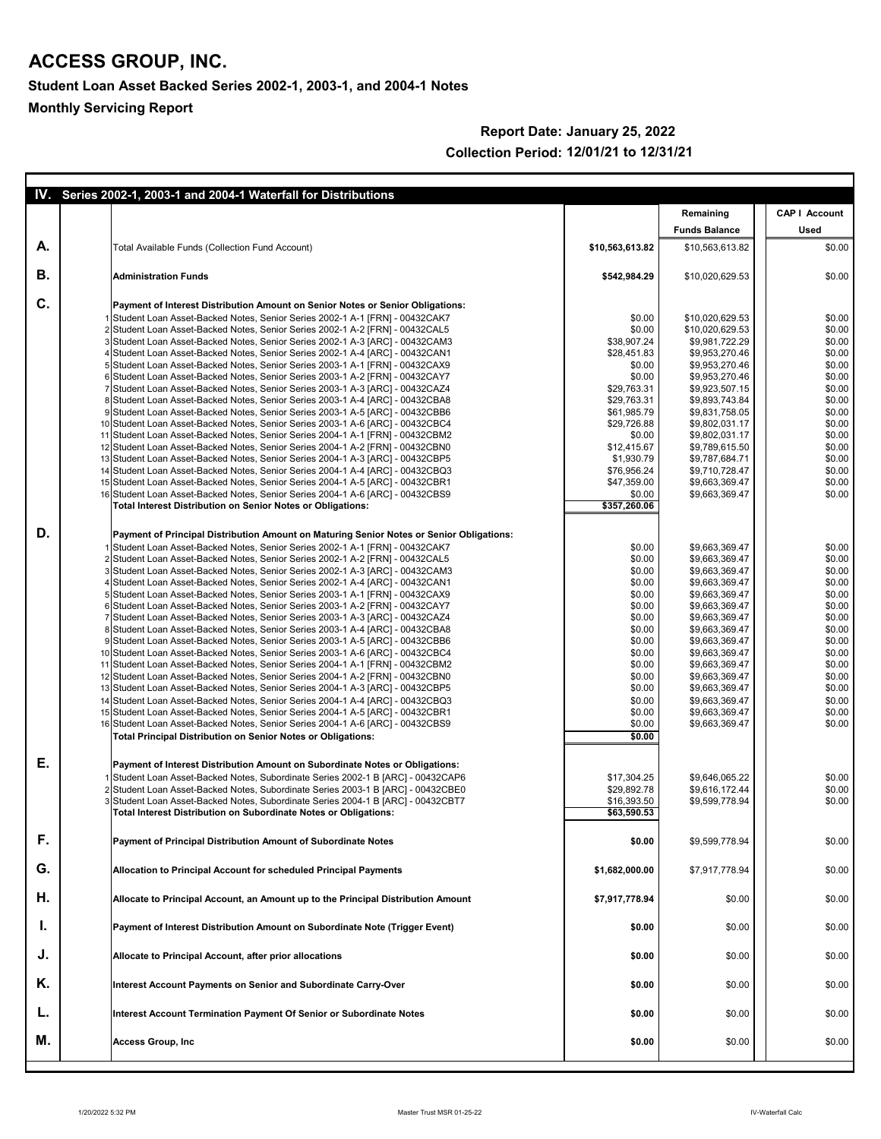|    | IV. Series 2002-1, 2003-1 and 2004-1 Waterfall for Distributions                                                                                                 |                            |                                    |                      |
|----|------------------------------------------------------------------------------------------------------------------------------------------------------------------|----------------------------|------------------------------------|----------------------|
|    |                                                                                                                                                                  |                            | Remaining                          | <b>CAP   Account</b> |
|    |                                                                                                                                                                  |                            | <b>Funds Balance</b>               | <b>Used</b>          |
| A. | <b>Total Available Funds (Collection Fund Account)</b>                                                                                                           | \$10,563,613.82            | \$10,563,613.82                    | \$0.00               |
| В. | <b>Administration Funds</b>                                                                                                                                      | \$542,984.29               | \$10,020,629.53                    | \$0.00               |
| C. | <b>Payment of Interest Distribution Amount on Senior Notes or Senior Obligations:</b>                                                                            |                            |                                    |                      |
|    | 1 Student Loan Asset-Backed Notes, Senior Series 2002-1 A-1 [FRN] - 00432CAK7                                                                                    | \$0.00<br>\$0.00           | \$10,020,629.53<br>\$10,020,629.53 | \$0.00<br>\$0.00     |
|    | 2 Student Loan Asset-Backed Notes, Senior Series 2002-1 A-2 [FRN] - 00432CAL5<br>3 Student Loan Asset-Backed Notes, Senior Series 2002-1 A-3 [ARC] - 00432CAM3   | \$38,907.24                | \$9,981,722.29                     | \$0.00               |
|    | 4 Student Loan Asset-Backed Notes, Senior Series 2002-1 A-4 [ARC] - 00432CAN1                                                                                    | \$28,451.83                | \$9,953,270.46                     | \$0.00               |
|    | 5 Student Loan Asset-Backed Notes, Senior Series 2003-1 A-1 [FRN] - 00432CAX9                                                                                    | \$0.00                     | \$9,953,270.46                     | \$0.00               |
|    | 6 Student Loan Asset-Backed Notes, Senior Series 2003-1 A-2 [FRN] - 00432CAY7                                                                                    | \$0.00                     | \$9,953,270.46                     | \$0.00               |
|    | 7 Student Loan Asset-Backed Notes, Senior Series 2003-1 A-3 [ARC] - 00432CAZ4<br>8 Student Loan Asset-Backed Notes, Senior Series 2003-1 A-4 [ARC] - 00432CBA8   | \$29,763.31<br>\$29,763.31 | \$9,923,507.15<br>\$9,893,743.84   | \$0.00<br>\$0.00     |
|    | 9 Student Loan Asset-Backed Notes, Senior Series 2003-1 A-5 [ARC] - 00432CBB6                                                                                    | \$61,985.79                | \$9,831,758.05                     | \$0.00               |
|    | 10 Student Loan Asset-Backed Notes, Senior Series 2003-1 A-6 [ARC] - 00432CBC4                                                                                   | \$29,726.88                | \$9,802,031.17                     | \$0.00               |
|    | 11 Student Loan Asset-Backed Notes, Senior Series 2004-1 A-1 [FRN] - 00432CBM2                                                                                   | \$0.00                     | \$9,802,031.17                     | \$0.00               |
|    | 12 Student Loan Asset-Backed Notes, Senior Series 2004-1 A-2 [FRN] - 00432CBN0                                                                                   | \$12,415.67                | \$9,789,615.50                     | \$0.00               |
|    | 13 Student Loan Asset-Backed Notes, Senior Series 2004-1 A-3 [ARC] - 00432CBP5<br>14 Student Loan Asset-Backed Notes, Senior Series 2004-1 A-4 [ARC] - 00432CBQ3 | \$1,930.79<br>\$76,956.24  | \$9,787,684.71<br>\$9,710,728.47   | \$0.00<br>\$0.00     |
|    | 15 Student Loan Asset-Backed Notes, Senior Series 2004-1 A-5 [ARC] - 00432CBR1                                                                                   | \$47,359.00                | \$9,663,369.47                     | \$0.00               |
|    | 16 Student Loan Asset-Backed Notes, Senior Series 2004-1 A-6 [ARC] - 00432CBS9                                                                                   | \$0.00                     | \$9,663,369.47                     | \$0.00               |
|    | <b>Total Interest Distribution on Senior Notes or Obligations:</b>                                                                                               | $\overline{$357,260.06}$   |                                    |                      |
| D. | Payment of Principal Distribution Amount on Maturing Senior Notes or Senior Obligations:                                                                         |                            |                                    |                      |
|    | 1 Student Loan Asset-Backed Notes, Senior Series 2002-1 A-1 [FRN] - 00432CAK7                                                                                    | \$0.00                     | \$9,663,369.47                     | \$0.00               |
|    | 2 Student Loan Asset-Backed Notes, Senior Series 2002-1 A-2 [FRN] - 00432CAL5                                                                                    | \$0.00                     | \$9,663,369.47                     | \$0.00               |
|    | 3 Student Loan Asset-Backed Notes, Senior Series 2002-1 A-3 [ARC] - 00432CAM3<br>4 Student Loan Asset-Backed Notes, Senior Series 2002-1 A-4 [ARC] - 00432CAN1   | \$0.00<br>\$0.00           | \$9,663,369.47<br>\$9,663,369.47   | \$0.00<br>\$0.00     |
|    | 5 Student Loan Asset-Backed Notes, Senior Series 2003-1 A-1 [FRN] - 00432CAX9                                                                                    | \$0.00                     | \$9,663,369.47                     | \$0.00               |
|    | 6 Student Loan Asset-Backed Notes, Senior Series 2003-1 A-2 [FRN] - 00432CAY7                                                                                    | \$0.00                     | \$9,663,369.47                     | \$0.00               |
|    | 7 Student Loan Asset-Backed Notes, Senior Series 2003-1 A-3 [ARC] - 00432CAZ4                                                                                    | \$0.00                     | \$9,663,369.47                     | \$0.00               |
|    | 8 Student Loan Asset-Backed Notes, Senior Series 2003-1 A-4 [ARC] - 00432CBA8                                                                                    | \$0.00                     | \$9,663,369.47                     | \$0.00               |
|    | 9 Student Loan Asset-Backed Notes, Senior Series 2003-1 A-5 [ARC] - 00432CBB6<br>10 Student Loan Asset-Backed Notes, Senior Series 2003-1 A-6 [ARC] - 00432CBC4  | \$0.00<br>\$0.00           | \$9,663,369.47                     | \$0.00<br>\$0.00     |
|    | 11 Student Loan Asset-Backed Notes, Senior Series 2004-1 A-1 [FRN] - 00432CBM2                                                                                   | \$0.00                     | \$9,663,369.47<br>\$9,663,369.47   | \$0.00               |
|    | 12 Student Loan Asset-Backed Notes, Senior Series 2004-1 A-2 [FRN] - 00432CBN0                                                                                   | \$0.00                     | \$9,663,369.47                     | \$0.00               |
|    | 13 Student Loan Asset-Backed Notes, Senior Series 2004-1 A-3 [ARC] - 00432CBP5                                                                                   | \$0.00                     | \$9,663,369.47                     | \$0.00               |
|    | 14 Student Loan Asset-Backed Notes, Senior Series 2004-1 A-4 [ARC] - 00432CBQ3                                                                                   | \$0.00                     | \$9,663,369.47                     | \$0.00               |
|    | 15 Student Loan Asset-Backed Notes, Senior Series 2004-1 A-5 [ARC] - 00432CBR1                                                                                   | \$0.00                     | \$9,663,369.47                     | \$0.00               |
|    | 16 Student Loan Asset-Backed Notes, Senior Series 2004-1 A-6 [ARC] - 00432CBS9<br><b>Total Principal Distribution on Senior Notes or Obligations:</b>            | \$0.00<br>\$0.00           | \$9,663,369.47                     | \$0.00               |
| Ε. |                                                                                                                                                                  |                            |                                    |                      |
|    | Payment of Interest Distribution Amount on Subordinate Notes or Obligations:<br>1 Student Loan Asset-Backed Notes, Subordinate Series 2002-1 B [ARC] - 00432CAP6 | \$17,304.25                | \$9,646,065.22                     | \$0.00               |
|    | 2 Student Loan Asset-Backed Notes, Subordinate Series 2003-1 B [ARC] - 00432CBE0                                                                                 | \$29,892.78                | \$9,616,172.44                     | \$0.00               |
|    | 3 Student Loan Asset-Backed Notes, Subordinate Series 2004-1 B [ARC] - 00432CBT7                                                                                 | \$16,393.50                | \$9,599,778.94                     | \$0.00               |
|    | <b>Total Interest Distribution on Subordinate Notes or Obligations:</b>                                                                                          | \$63,590.53                |                                    |                      |
| F. | <b>Payment of Principal Distribution Amount of Subordinate Notes</b>                                                                                             | \$0.00                     | \$9,599,778.94                     | \$0.00               |
| G. | <b>Allocation to Principal Account for scheduled Principal Payments</b>                                                                                          | \$1,682,000.00             | \$7,917,778.94                     | \$0.00               |
| Η. | Allocate to Principal Account, an Amount up to the Principal Distribution Amount                                                                                 | \$7,917,778.94             | \$0.00                             | \$0.00               |
| ι. | <b>Payment of Interest Distribution Amount on Subordinate Note (Trigger Event)</b>                                                                               | \$0.00                     | \$0.00                             | \$0.00               |
| J. | <b>Allocate to Principal Account, after prior allocations</b>                                                                                                    | \$0.00                     | \$0.00                             | \$0.00               |
| K. | Interest Account Payments on Senior and Subordinate Carry-Over                                                                                                   | \$0.00                     | \$0.00                             | \$0.00               |
| L. | Interest Account Termination Payment Of Senior or Subordinate Notes                                                                                              | \$0.00                     | \$0.00                             | \$0.00               |
| M. | <b>Access Group, Inc.</b>                                                                                                                                        | \$0.00                     | \$0.00                             | \$0.00               |

#### **Report Date: January 25, 2022 Collection Period: 12/01/21 to 12/31/21**

## **ACCESS GROUP, INC.**

**Student Loan Asset Backed Series 2002-1, 2003-1, and 2004-1 Notes**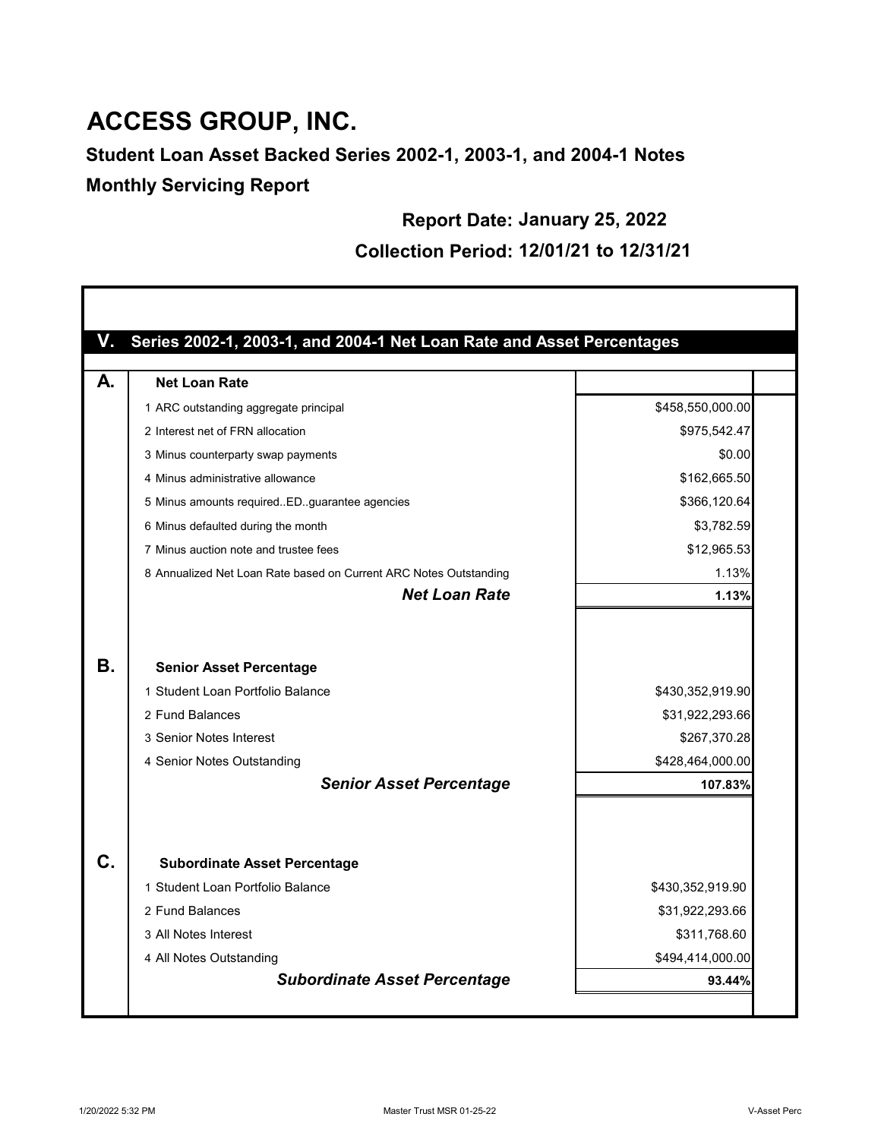## **ACCESS GROUP, INC.**

**Student Loan Asset Backed Series 2002-1, 2003-1, and 2004-1 Notes Monthly Servicing Report**

**Report Date: January 25, 2022**

**Collection Period: 12/01/21 to 12/31/21**

| \$458,550,000.00<br>\$975,542.47                    |
|-----------------------------------------------------|
|                                                     |
|                                                     |
|                                                     |
| \$0.00                                              |
| \$162,665.50                                        |
| \$366,120.64                                        |
| \$3,782.59                                          |
| \$12,965.53                                         |
| 1.13%                                               |
| 1.13%                                               |
| \$430,352,919.90<br>\$31,922,293.66<br>\$267,370.28 |
| \$428,464,000.00                                    |
| 107.83%                                             |
|                                                     |
| \$430,352,919.90                                    |
| \$31,922,293.66                                     |
| \$311,768.60                                        |
| \$494,414,000.00                                    |
|                                                     |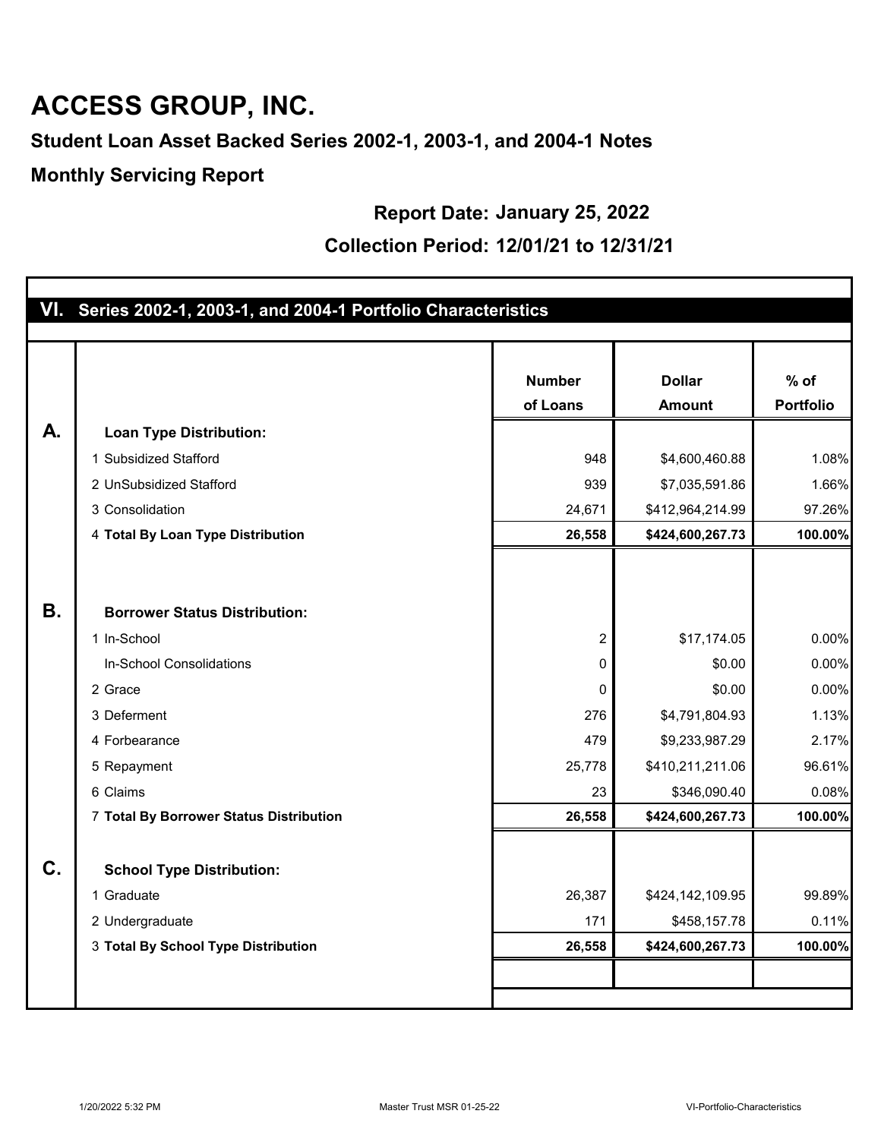# **ACCESS GROUP, INC.**

**Student Loan Asset Backed Series 2002-1, 2003-1, and 2004-1 Notes**

**Monthly Servicing Report**

**Report Date: January 25, 2022**

#### **Collection Period: 12/01/21 to 12/31/21**

|           | VI. Series 2002-1, 2003-1, and 2004-1 Portfolio Characteristics |                |                  |                  |
|-----------|-----------------------------------------------------------------|----------------|------------------|------------------|
|           |                                                                 |                |                  |                  |
|           |                                                                 | <b>Number</b>  | <b>Dollar</b>    | $%$ of           |
|           |                                                                 | of Loans       | <b>Amount</b>    | <b>Portfolio</b> |
| А.        |                                                                 |                |                  |                  |
|           | <b>Loan Type Distribution:</b>                                  |                |                  |                  |
|           | 1 Subsidized Stafford                                           | 948            | \$4,600,460.88   | 1.08%            |
|           | 2 UnSubsidized Stafford                                         | 939            | \$7,035,591.86   | 1.66%            |
|           | 3 Consolidation                                                 | 24,671         | \$412,964,214.99 | 97.26%           |
|           | 4 Total By Loan Type Distribution                               | 26,558         | \$424,600,267.73 | 100.00%          |
|           |                                                                 |                |                  |                  |
|           |                                                                 |                |                  |                  |
| <b>B.</b> | <b>Borrower Status Distribution:</b>                            |                |                  |                  |
|           | 1 In-School                                                     | $\overline{2}$ | \$17,174.05      | 0.00%            |
|           | In-School Consolidations                                        | 0              | \$0.00           | 0.00%            |
|           | 2 Grace                                                         | 0              | \$0.00           | 0.00%            |
|           | 3 Deferment                                                     | 276            | \$4,791,804.93   | 1.13%            |
|           | 4 Forbearance                                                   | 479            | \$9,233,987.29   | 2.17%            |
|           | 5 Repayment                                                     | 25,778         | \$410,211,211.06 | 96.61%           |
|           | 6 Claims                                                        | 23             | \$346,090.40     | 0.08%            |
|           | 7 Total By Borrower Status Distribution                         | 26,558         | \$424,600,267.73 | 100.00%          |
|           |                                                                 |                |                  |                  |
| C.        | <b>School Type Distribution:</b>                                |                |                  |                  |
|           | 1 Graduate                                                      | 26,387         | \$424,142,109.95 | 99.89%           |
|           | 2 Undergraduate                                                 | 171            | \$458,157.78     | 0.11%            |
|           | 3 Total By School Type Distribution                             | 26,558         | \$424,600,267.73 | 100.00%          |
|           |                                                                 |                |                  |                  |
|           |                                                                 |                |                  |                  |
|           |                                                                 |                |                  |                  |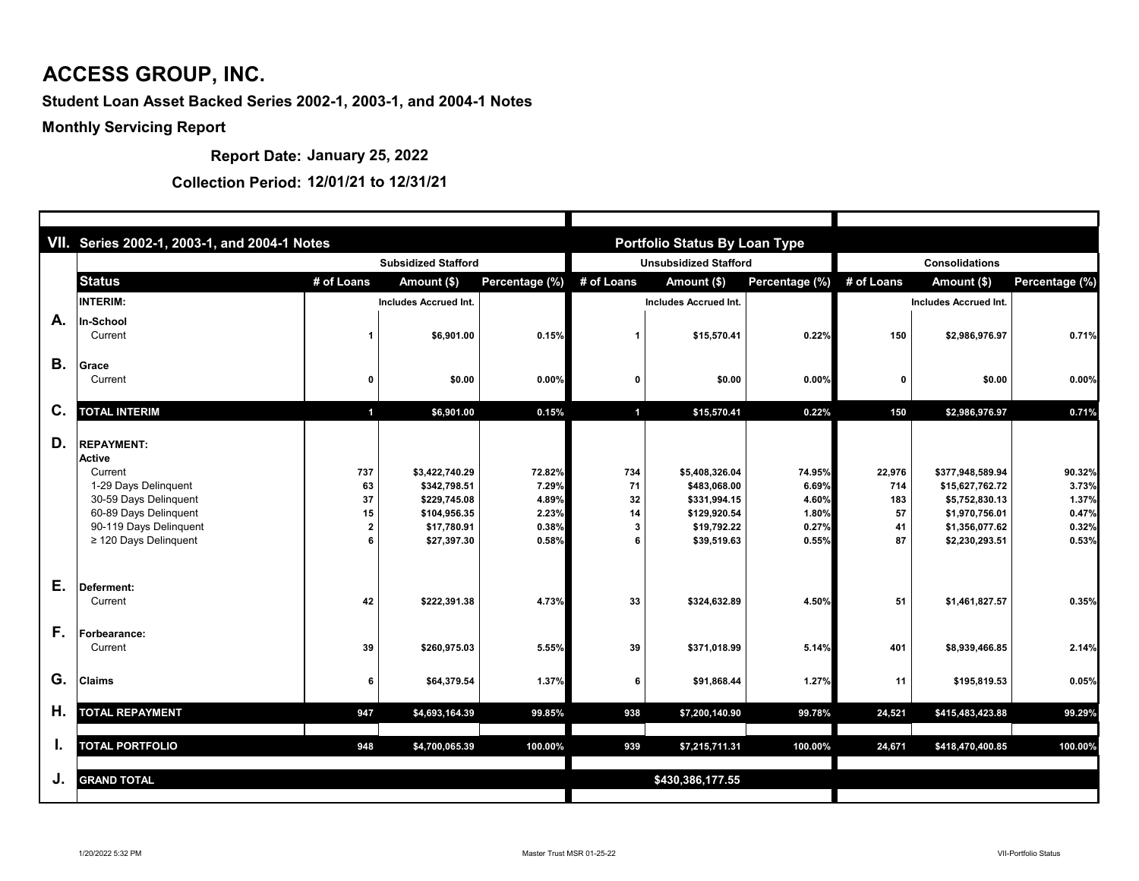|           | VII. Series 2002-1, 2003-1, and 2004-1 Notes                                                                                                                                    |                       |                                                                                              |                                                     |                            | <b>Portfolio Status By Loan Type</b>                                                         |                                                     |                                        |                                                                                                             |                                                     |  |
|-----------|---------------------------------------------------------------------------------------------------------------------------------------------------------------------------------|-----------------------|----------------------------------------------------------------------------------------------|-----------------------------------------------------|----------------------------|----------------------------------------------------------------------------------------------|-----------------------------------------------------|----------------------------------------|-------------------------------------------------------------------------------------------------------------|-----------------------------------------------------|--|
|           |                                                                                                                                                                                 |                       | <b>Subsidized Stafford</b>                                                                   |                                                     |                            | <b>Unsubsidized Stafford</b>                                                                 |                                                     | <b>Consolidations</b>                  |                                                                                                             |                                                     |  |
|           | <b>Status</b>                                                                                                                                                                   | # of Loans            | Amount (\$)                                                                                  | Percentage (%)                                      | # of Loans                 | Amount (\$)                                                                                  | Percentage (%)                                      | # of Loans                             | Amount (\$)                                                                                                 | Percentage (%)                                      |  |
|           | <b>INTERIM:</b>                                                                                                                                                                 |                       | <b>Includes Accrued Int.</b>                                                                 |                                                     |                            | <b>Includes Accrued Int.</b>                                                                 |                                                     |                                        | <b>Includes Accrued Int.</b>                                                                                |                                                     |  |
| A.        | <b>In-School</b><br>Current                                                                                                                                                     |                       | \$6,901.00                                                                                   | 0.15%                                               |                            | \$15,570.41                                                                                  | 0.22%                                               | 150                                    | \$2,986,976.97                                                                                              | 0.71%                                               |  |
| <b>B.</b> | <b>Grace</b><br>Current                                                                                                                                                         |                       | \$0.00                                                                                       | 0.00%                                               | $\mathbf 0$                | \$0.00                                                                                       | 0.00%                                               |                                        | \$0.00                                                                                                      | 0.00%                                               |  |
| C.        | <b>TOTAL INTERIM</b>                                                                                                                                                            |                       | \$6,901.00                                                                                   | 0.15%                                               | $\overline{\mathbf{1}}$    | \$15,570.41                                                                                  | 0.22%                                               | 150                                    | \$2,986,976.97                                                                                              | 0.71%                                               |  |
| D.        | <b>REPAYMENT:</b><br><b>Active</b><br>Current<br>1-29 Days Delinquent<br>30-59 Days Delinquent<br>60-89 Days Delinquent<br>90-119 Days Delinquent<br>$\geq$ 120 Days Delinquent | 737<br>63<br>37<br>15 | \$3,422,740.29<br>\$342,798.51<br>\$229,745.08<br>\$104,956.35<br>\$17,780.91<br>\$27,397.30 | 72.82%<br>7.29%<br>4.89%<br>2.23%<br>0.38%<br>0.58% | 734<br>71<br>32<br>14<br>3 | \$5,408,326.04<br>\$483,068.00<br>\$331,994.15<br>\$129,920.54<br>\$19,792.22<br>\$39,519.63 | 74.95%<br>6.69%<br>4.60%<br>1.80%<br>0.27%<br>0.55% | 22,976<br>714<br>183<br>57<br>41<br>87 | \$377,948,589.94<br>\$15,627,762.72<br>\$5,752,830.13<br>\$1,970,756.01<br>\$1,356,077.62<br>\$2,230,293.51 | 90.32%<br>3.73%<br>1.37%<br>0.47%<br>0.32%<br>0.53% |  |
| Ε.        | Deferment:<br>Current                                                                                                                                                           | 42                    | \$222,391.38                                                                                 | 4.73%                                               | 33                         | \$324,632.89                                                                                 | 4.50%                                               | 51                                     | \$1,461,827.57                                                                                              | 0.35%                                               |  |
| F.        | Forbearance:<br>Current                                                                                                                                                         | 39                    | \$260,975.03                                                                                 | 5.55%                                               | 39                         | \$371,018.99                                                                                 | 5.14%                                               | 401                                    | \$8,939,466.85                                                                                              | 2.14%                                               |  |
| G.        | <b>Claims</b>                                                                                                                                                                   | 6                     | \$64,379.54                                                                                  | 1.37%                                               | 6                          | \$91,868.44                                                                                  | 1.27%                                               | 11                                     | \$195,819.53                                                                                                | 0.05%                                               |  |
| Η.        | <b>TOTAL REPAYMENT</b>                                                                                                                                                          | 947                   | \$4,693,164.39                                                                               | 99.85%                                              | 938                        | \$7,200,140.90                                                                               | 99.78%                                              | 24,521                                 | \$415,483,423.88                                                                                            | 99.29%                                              |  |
| ι.        | <b>TOTAL PORTFOLIO</b>                                                                                                                                                          | 948                   | \$4,700,065.39                                                                               | 100.00%                                             | 939                        | \$7,215,711.31                                                                               | 100.00%                                             | 24,671                                 | \$418,470,400.85                                                                                            | 100.00%                                             |  |
| J.        | <b>GRAND TOTAL</b>                                                                                                                                                              |                       |                                                                                              |                                                     |                            | \$430,386,177.55                                                                             |                                                     |                                        |                                                                                                             |                                                     |  |

**Report Date: January 25, 2022**

**Collection Period: 12/01/21 to 12/31/21**

## **ACCESS GROUP, INC.**

**Student Loan Asset Backed Series 2002-1, 2003-1, and 2004-1 Notes**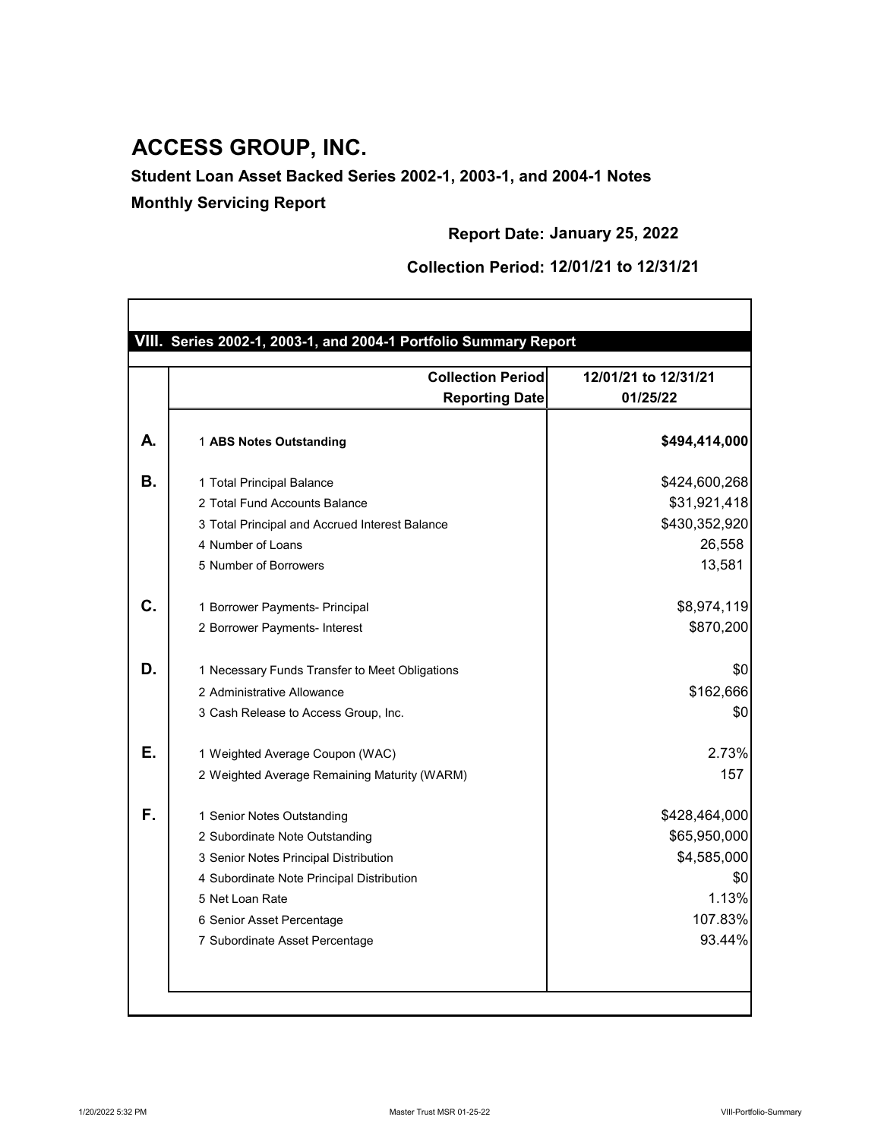|    | <b>Collection Period</b>                       | 12/01/21 to 12/31/21 |
|----|------------------------------------------------|----------------------|
|    | <b>Reporting Date</b>                          | 01/25/22             |
| А. | 1 ABS Notes Outstanding                        | \$494,414,000        |
| В. | 1 Total Principal Balance                      | \$424,600,268        |
|    | 2 Total Fund Accounts Balance                  | \$31,921,418         |
|    | 3 Total Principal and Accrued Interest Balance | \$430,352,920        |
|    | 4 Number of Loans                              | 26,558               |
|    | 5 Number of Borrowers                          | 13,581               |
| C. | 1 Borrower Payments- Principal                 | \$8,974,119          |
|    | 2 Borrower Payments- Interest                  | \$870,200            |
| D. | 1 Necessary Funds Transfer to Meet Obligations | \$0                  |
|    | 2 Administrative Allowance                     | \$162,666            |
|    | 3 Cash Release to Access Group, Inc.           | \$0                  |
| Е. | 1 Weighted Average Coupon (WAC)                | 2.73%                |
|    | 2 Weighted Average Remaining Maturity (WARM)   | 157                  |
| F. | 1 Senior Notes Outstanding                     | \$428,464,000        |
|    | 2 Subordinate Note Outstanding                 | \$65,950,000         |
|    | 3 Senior Notes Principal Distribution          | \$4,585,000          |
|    | 4 Subordinate Note Principal Distribution      | \$0                  |
|    | 5 Net Loan Rate                                | 1.13%                |

**Report Date: January 25, 2022**

**Collection Period: 12/01/21 to 12/31/21**



## **ACCESS GROUP, INC.**

**Student Loan Asset Backed Series 2002-1, 2003-1, and 2004-1 Notes**